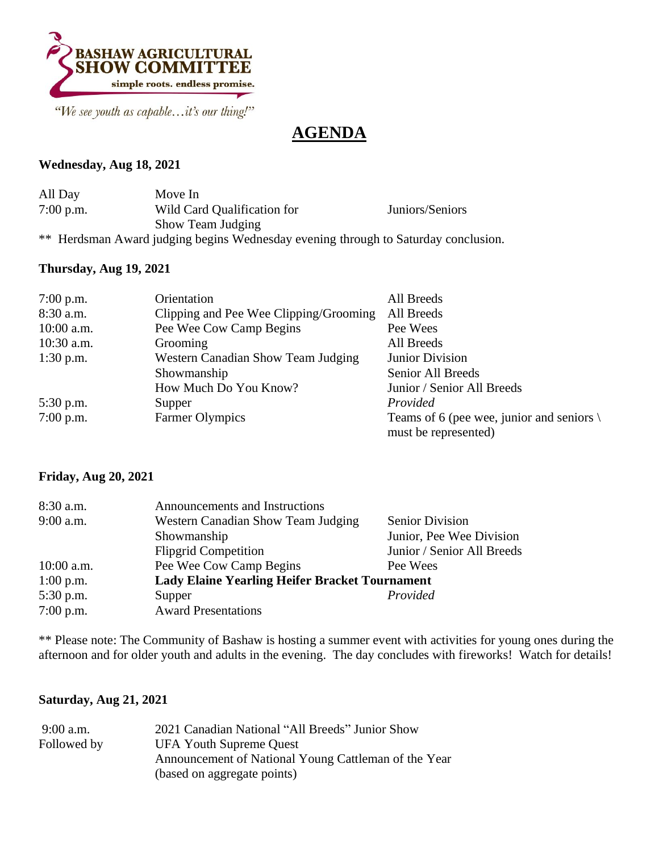

"We see youth as capable...it's our thing!"

# **AGENDA**

#### **Wednesday, Aug 18, 2021**

| All Day     | Move In                                                                           |                 |
|-------------|-----------------------------------------------------------------------------------|-----------------|
| $7:00$ p.m. | Wild Card Qualification for                                                       | Juniors/Seniors |
|             | Show Team Judging                                                                 |                 |
|             | ** Herdsman Award judging begins Wednesday evening through to Saturday conclusion |                 |

#### **Thursday, Aug 19, 2021**

| $7:00$ p.m.  | Orientation                            | All Breeds                                          |
|--------------|----------------------------------------|-----------------------------------------------------|
| 8:30 a.m.    | Clipping and Pee Wee Clipping/Grooming | All Breeds                                          |
| $10:00$ a.m. | Pee Wee Cow Camp Begins                | Pee Wees                                            |
| $10:30$ a.m. | Grooming                               | All Breeds                                          |
| $1:30$ p.m.  | Western Canadian Show Team Judging     | <b>Junior Division</b>                              |
|              | Showmanship                            | Senior All Breeds                                   |
|              | How Much Do You Know?                  | Junior / Senior All Breeds                          |
| $5:30$ p.m.  | Supper                                 | Provided                                            |
| $7:00$ p.m.  | <b>Farmer Olympics</b>                 | Teams of 6 (pee wee, junior and seniors $\setminus$ |
|              |                                        | must be represented)                                |

### **Friday, Aug 20, 2021**

| $8:30$ a.m.  | Announcements and Instructions                        |                            |
|--------------|-------------------------------------------------------|----------------------------|
| $9:00$ a.m.  | Western Canadian Show Team Judging                    | <b>Senior Division</b>     |
|              | Showmanship                                           | Junior, Pee Wee Division   |
|              | <b>Flipgrid Competition</b>                           | Junior / Senior All Breeds |
| $10:00$ a.m. | Pee Wee Cow Camp Begins                               | Pee Wees                   |
| $1:00$ p.m.  | <b>Lady Elaine Yearling Heifer Bracket Tournament</b> |                            |
| $5:30$ p.m.  | Supper                                                | Provided                   |
| $7:00$ p.m.  | <b>Award Presentations</b>                            |                            |

\*\* Please note: The Community of Bashaw is hosting a summer event with activities for young ones during the afternoon and for older youth and adults in the evening. The day concludes with fireworks! Watch for details!

#### **Saturday, Aug 21, 2021**

| $9:00$ a.m. | 2021 Canadian National "All Breeds" Junior Show      |
|-------------|------------------------------------------------------|
| Followed by | <b>UFA Youth Supreme Quest</b>                       |
|             | Announcement of National Young Cattleman of the Year |
|             | (based on aggregate points)                          |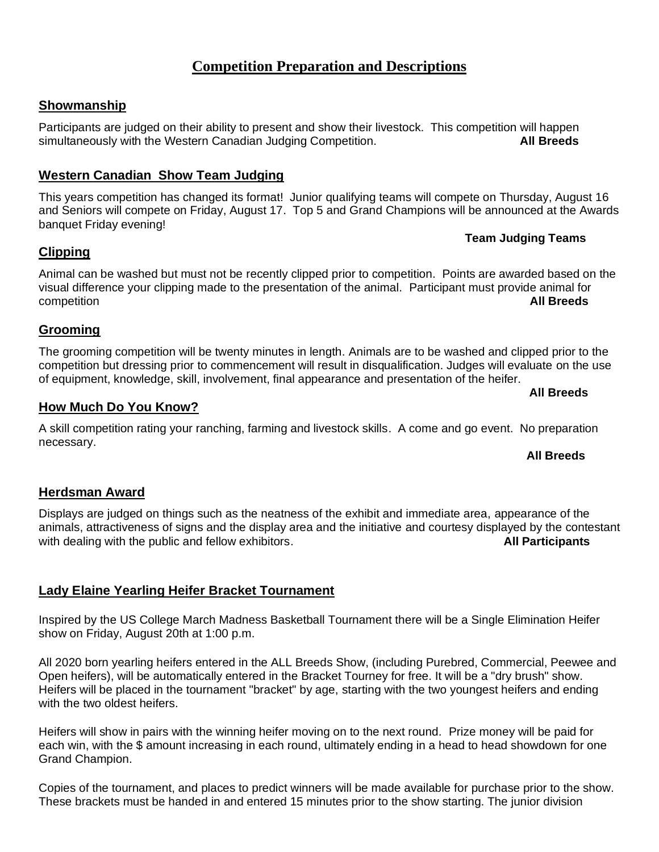# **Competition Preparation and Descriptions**

# **Showmanship**

Participants are judged on their ability to present and show their livestock. This competition will happen simultaneously with the Western Canadian Judging Competition. **All Breeds**

## **Western Canadian Show Team Judging**

This years competition has changed its format! Junior qualifying teams will compete on Thursday, August 16 and Seniors will compete on Friday, August 17. Top 5 and Grand Champions will be announced at the Awards banquet Friday evening!

## **Team Judging Teams**

## **Clipping**

Animal can be washed but must not be recently clipped prior to competition. Points are awarded based on the visual difference your clipping made to the presentation of the animal. Participant must provide animal for competition **All Breeds**

### **Grooming**

The grooming competition will be twenty minutes in length. Animals are to be washed and clipped prior to the competition but dressing prior to commencement will result in disqualification. Judges will evaluate on the use of equipment, knowledge, skill, involvement, final appearance and presentation of the heifer.

### **How Much Do You Know?**

A skill competition rating your ranching, farming and livestock skills. A come and go event. No preparation necessary. The contract of the contract of the contract of the contract of the contract of the contract of the contract of the contract of the contract of the contract of the contract of the contract of the contract of the

#### **All Breeds**

 **All Breeds**

### **Herdsman Award**

Displays are judged on things such as the neatness of the exhibit and immediate area, appearance of the animals, attractiveness of signs and the display area and the initiative and courtesy displayed by the contestant with dealing with the public and fellow exhibitors. **All Participants All Participants** 

### **Lady Elaine Yearling Heifer Bracket Tournament**

Inspired by the US College March Madness Basketball Tournament there will be a Single Elimination Heifer show on Friday, August 20th at 1:00 p.m.

All 2020 born yearling heifers entered in the ALL Breeds Show, (including Purebred, Commercial, Peewee and Open heifers), will be automatically entered in the Bracket Tourney for free. It will be a "dry brush" show. Heifers will be placed in the tournament "bracket" by age, starting with the two youngest heifers and ending with the two oldest heifers.

Heifers will show in pairs with the winning heifer moving on to the next round. Prize money will be paid for each win, with the \$ amount increasing in each round, ultimately ending in a head to head showdown for one Grand Champion.

Copies of the tournament, and places to predict winners will be made available for purchase prior to the show. These brackets must be handed in and entered 15 minutes prior to the show starting. The junior division